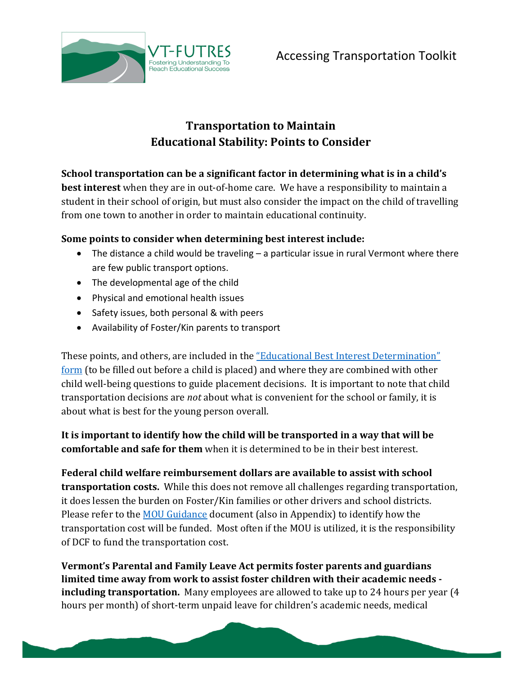

## **Transportation to Maintain Educational Stability: Points to Consider**

**School transportation can be a significant factor in determining what is in a child's best interest** when they are in out-of-home care. We have a responsibility to maintain a student in their school of origin, but must also consider the impact on the child of travelling from one town to another in order to maintain educational continuity.

## **Some points to consider when determining best interest include:**

- The distance a child would be traveling a particular issue in rural Vermont where there are few public transport options.
- The developmental age of the child
- Physical and emotional health issues
- Safety issues, both personal & with peers
- Availability of Foster/Kin parents to transport

These points, and others, are included in the "Educational Best Interest Determination" [form](http://vtfutres.org/wp-content/uploads/2014/01/Education-Best-Interest-Determination-Evaluation-Form1-14.pdf) (to be filled out before a child is placed) and where they are combined with other child well-being questions to guide placement decisions. It is important to note that child transportation decisions are *not* about what is convenient for the school or family, it is about what is best for the young person overall.

**It is important to identify how the child will be transported in a way that will be comfortable and safe for them** when it is determined to be in their best interest.

**Federal child welfare reimbursement dollars are available to assist with school transportation costs.** While this does not remove all challenges regarding transportation, it does lessen the burden on Foster/Kin families or other drivers and school districts. Please refer to the **MOU** Guidance document (also in Appendix) to identify how the transportation cost will be funded. Most often if the MOU is utilized, it is the responsibility of DCF to fund the transportation cost.

**Vermont's Parental and Family Leave Act permits foster parents and guardians limited time away from work to assist foster children with their academic needs including transportation.** Many employees are allowed to take up to 24 hours per year (4 hours per month) of short-term unpaid leave for children's academic needs, medical